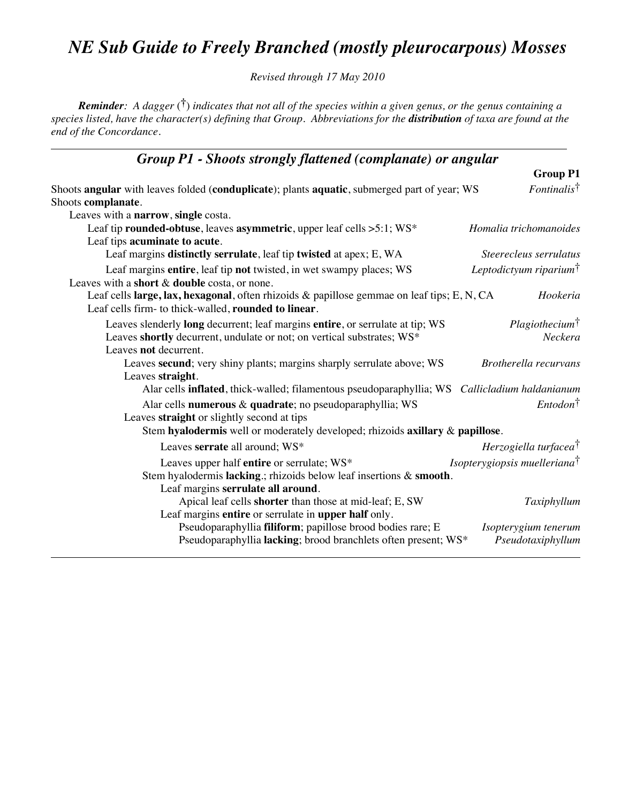# *NE Sub Guide to Freely Branched (mostly pleurocarpous) Mosses*

*Revised through 17 May 2010*

*Reminder: A dagger* (**†**) *indicates that not all of the species within a given genus, or the genus containing a species listed, have the character(s) defining that Group. Abbreviations for the distribution of taxa are found at the end of the Concordance.*

| Group P1 - Shoots strongly flattened (complanate) or angular                                                                                                                                                    |                                                                               |
|-----------------------------------------------------------------------------------------------------------------------------------------------------------------------------------------------------------------|-------------------------------------------------------------------------------|
|                                                                                                                                                                                                                 | <b>Group P1</b>                                                               |
| Shoots angular with leaves folded (conduplicate); plants aquatic, submerged part of year; WS<br>Shoots complanate.                                                                                              | Fontinalis <sup>†</sup>                                                       |
| Leaves with a narrow, single costa.<br>Leaf tip rounded-obtuse, leaves asymmetric, upper leaf cells >5:1; WS*<br>Leaf tips acuminate to acute.                                                                  | Homalia trichomanoides                                                        |
| Leaf margins distinctly serrulate, leaf tip twisted at apex; E, WA                                                                                                                                              | Steerecleus serrulatus                                                        |
| Leaf margins entire, leaf tip not twisted, in wet swampy places; WS<br>Leaves with a short & double costa, or none.                                                                                             | Leptodictyum riparium $\bar{d}$                                               |
| Leaf cells large, lax, hexagonal, often rhizoids & papillose gemmae on leaf tips; E, N, CA<br>Leaf cells firm- to thick-walled, rounded to linear.                                                              | Hookeria                                                                      |
| Leaves slenderly long decurrent; leaf margins entire, or serrulate at tip; WS<br>Leaves shortly decurrent, undulate or not; on vertical substrates; WS*<br>Leaves not decurrent.                                | Plagio the cium <sup>†</sup><br>Neckera                                       |
| Leaves secund; very shiny plants; margins sharply serrulate above; WS<br>Leaves straight.                                                                                                                       | Brotherella recurvans                                                         |
| Alar cells <b>inflated</b> , thick-walled; filamentous pseudoparaphyllia; WS Callicladium haldanianum<br>Alar cells numerous & quadrate; no pseudoparaphyllia; WS<br>Leaves straight or slightly second at tips | $Entodon^{\dagger}$                                                           |
| Stem hyalodermis well or moderately developed; rhizoids axillary & papillose.                                                                                                                                   |                                                                               |
| Leaves serrate all around; WS*<br>Leaves upper half entire or serrulate; WS*<br>Stem hyalodermis lacking.; rhizoids below leaf insertions & smooth.<br>Leaf margins serrulate all around.                       | Herzogiella turfacea <sup>†</sup><br>Isopterygiopsis muelleriana <sup>†</sup> |
| Apical leaf cells shorter than those at mid-leaf; E, SW<br>Leaf margins entire or serrulate in upper half only.                                                                                                 | Taxiphyllum                                                                   |
| Pseudoparaphyllia filiform; papillose brood bodies rare; E<br>Pseudoparaphyllia lacking; brood branchlets often present; WS*                                                                                    | Isopterygium tenerum<br>Pseudotaxiphyllum                                     |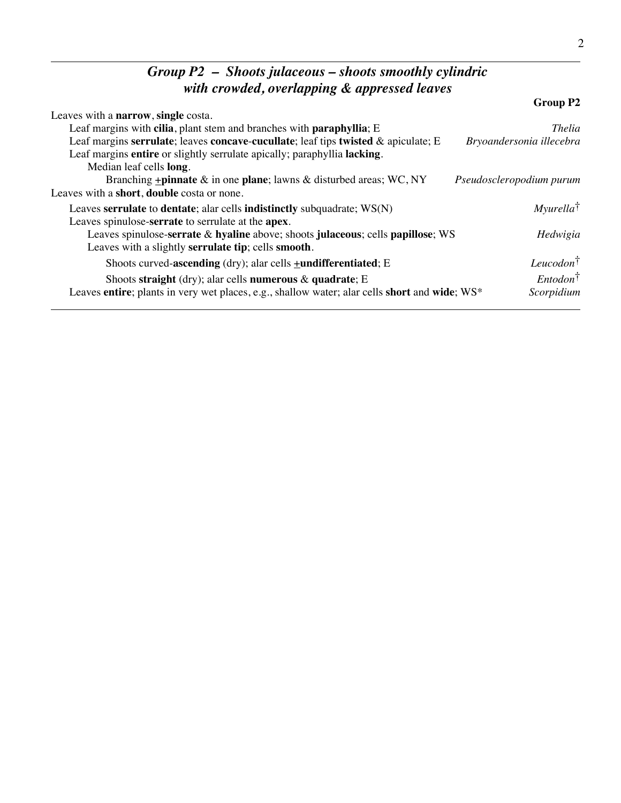## *Group P2 – Shoots julaceous – shoots smoothly cylindric with crowded, overlapping & appressed leaves*

|                                                                                                  | Group P2                 |
|--------------------------------------------------------------------------------------------------|--------------------------|
| Leaves with a <b>narrow</b> , single costa.                                                      |                          |
| Leaf margins with cilia, plant stem and branches with paraphyllia; E                             | <b>Thelia</b>            |
| Leaf margins serrulate; leaves concave-cucullate; leaf tips twisted $\&$ apiculate; E            | Bryoandersonia illecebra |
| Leaf margins entire or slightly serrulate apically; paraphyllia lacking.                         |                          |
| Median leaf cells <b>long</b> .                                                                  |                          |
| Branching $\pm$ pinnate & in one plane; lawns & disturbed areas; WC, NY                          | Pseudoscleropodium purum |
| Leaves with a short, double costa or none.                                                       |                          |
| Leaves serrulate to dentate; alar cells indistinctly subquadrate; $WS(N)$                        | $Myurella^{\dagger}$     |
| Leaves spinulose-serrate to serrulate at the apex.                                               |                          |
| Leaves spinulose-serrate & hyaline above; shoots julaceous; cells papillose; WS                  | Hedwigia                 |
| Leaves with a slightly serrulate tip; cells smooth.                                              |                          |
| Shoots curved-ascending (dry); alar cells $\pm$ undifferentiated; E                              | $Leucodon^{\dagger}$     |
| Shoots straight (dry); alar cells numerous $\&$ quadrate; E                                      | $Entodon^{\dagger}$      |
| Leaves entire; plants in very wet places, e.g., shallow water; alar cells short and wide; $WS^*$ | Scorpidium               |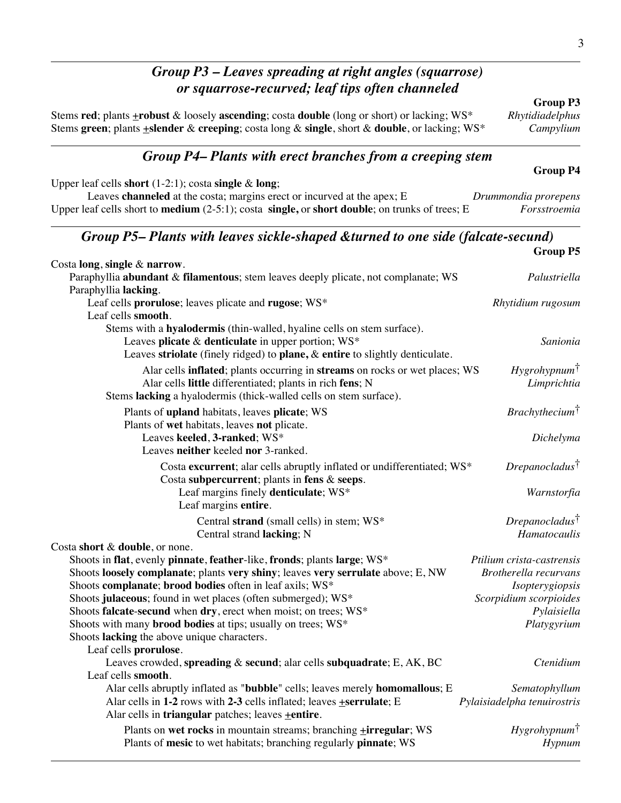## *Group P3 – Leaves spreading at right angles (squarrose) or squarrose-recurved; leaf tips often channeled*

Stems **red**; plants +**robust** & loosely **ascending**; costa **double** (long or short) or lacking; WS\* *Rhytidiadelphus* Stems **green**; plants +**slender** & **creeping**; costa long & **single**, short & **double**, or lacking; WS\* *Campylium*

### *Group P4– Plants with erect branches from a creeping stem*

Upper leaf cells **short** (1-2:1); costa **single** & **long**;

Leaves **channeled** at the costa; margins erect or incurved at the apex; E *Drummondia prorepens* Upper leaf cells short to **medium** (2-5:1); costa **single,** or **short double**; on trunks of trees; E *Forsstroemia*

#### *Group P5– Plants with leaves sickle-shaped &turned to one side (falcate-secund)* **Group P5**

| Costa long, single & narrow.                                                       |                              |
|------------------------------------------------------------------------------------|------------------------------|
| Paraphyllia abundant & filamentous; stem leaves deeply plicate, not complanate; WS | Palustriella                 |
| Paraphyllia lacking.                                                               |                              |
| Leaf cells prorulose; leaves plicate and rugose; WS*                               | Rhytidium rugosum            |
| Leaf cells smooth.                                                                 |                              |
| Stems with a hyalodermis (thin-walled, hyaline cells on stem surface).             |                              |
| Leaves plicate & denticulate in upper portion; WS*                                 | Sanionia                     |
| Leaves striolate (finely ridged) to plane, & entire to slightly denticulate.       |                              |
| Alar cells inflated; plants occurring in streams on rocks or wet places; WS        | $Hy$ grohypnum $\bar{f}$     |
| Alar cells little differentiated; plants in rich fens; N                           | Limprichtia                  |
| Stems lacking a hyalodermis (thick-walled cells on stem surface).                  |                              |
| Plants of upland habitats, leaves plicate; WS                                      | Brachy the cium <sup>†</sup> |
| Plants of wet habitats, leaves not plicate.                                        |                              |
| Leaves keeled, 3-ranked; WS*                                                       | Dichelyma                    |
| Leaves neither keeled nor 3-ranked.                                                |                              |
| Costa excurrent; alar cells abruptly inflated or undifferentiated; WS*             | $D$ repanocladus $\dagger$   |
| Costa subpercurrent; plants in fens & seeps.                                       |                              |
| Leaf margins finely denticulate; WS*                                               | Warnstorfia                  |
| Leaf margins entire.                                                               |                              |
| Central strand (small cells) in stem; WS*                                          | $D$ repanocladus $\dagger$   |
| Central strand lacking; N                                                          | Hamatocaulis                 |
| Costa short & double, or none.                                                     |                              |
| Shoots in flat, evenly pinnate, feather-like, fronds; plants large; WS*            | Ptilium crista-castrensis    |
| Shoots loosely complanate; plants very shiny; leaves very serrulate above; E, NW   | Brotherella recurvans        |
| Shoots complanate; brood bodies often in leaf axils; WS*                           | Isopterygiopsis              |
| Shoots julaceous; found in wet places (often submerged); WS*                       | Scorpidium scorpioides       |
| Shoots falcate-secund when dry, erect when moist; on trees; WS*                    | Pylaisiella                  |
| Shoots with many <b>brood bodies</b> at tips; usually on trees; WS*                | Platygyrium                  |
| Shoots lacking the above unique characters.                                        |                              |
| Leaf cells prorulose.                                                              |                              |
| Leaves crowded, spreading & secund; alar cells subquadrate; E, AK, BC              | Ctenidium                    |
| Leaf cells smooth.                                                                 |                              |
| Alar cells abruptly inflated as "bubble" cells; leaves merely homomallous; E       | Sematophyllum                |
| Alar cells in 1-2 rows with 2-3 cells inflated; leaves +serrulate; E               | Pylaisiadelpha tenuirostris  |
| Alar cells in triangular patches; leaves +entire.                                  |                              |
| Plants on wet rocks in mountain streams; branching +irregular; WS                  | $Hy$ grohypnum $\dagger$     |
| Plants of mesic to wet habitats; branching regularly pinnate; WS                   | Hypnum                       |
|                                                                                    |                              |

#### **Group P4**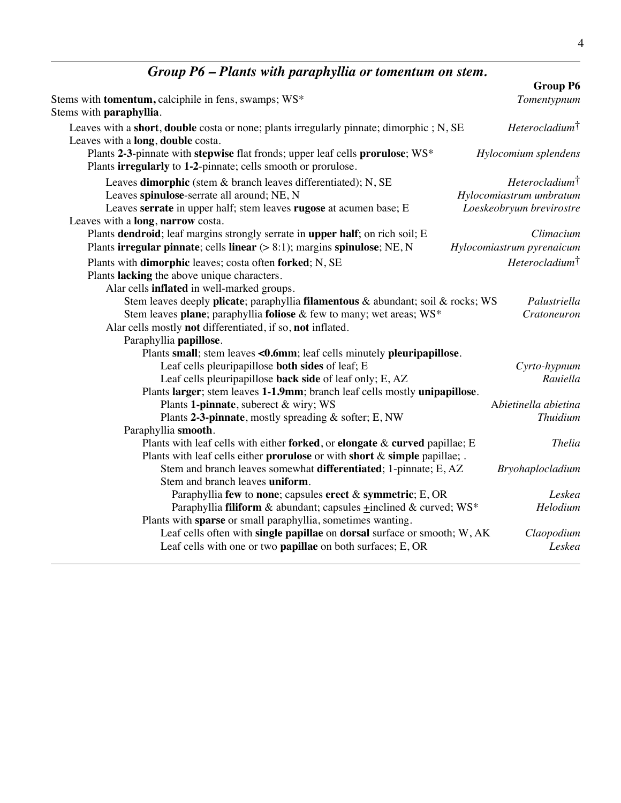# *Group P6 – Plants with paraphyllia or tomentum on stem.*

|                                                                                                                                                | Group P6                   |
|------------------------------------------------------------------------------------------------------------------------------------------------|----------------------------|
| Stems with tomentum, calciphile in fens, swamps; WS*<br>Stems with paraphyllia.                                                                | Tomentypnum                |
| Leaves with a short, double costa or none; plants irregularly pinnate; dimorphic; N, SE<br>Leaves with a long, double costa.                   | Heterocladium <sup>†</sup> |
| Plants 2-3-pinnate with stepwise flat fronds; upper leaf cells prorulose; WS*<br>Plants irregularly to 1-2-pinnate; cells smooth or prorulose. | Hylocomium splendens       |
| Leaves dimorphic (stem & branch leaves differentiated); N, SE                                                                                  | Heterocladium <sup>†</sup> |
| Leaves spinulose-serrate all around; NE, N                                                                                                     | Hylocomiastrum umbratum    |
| Leaves serrate in upper half; stem leaves rugose at acumen base; E                                                                             | Loeskeobryum brevirostre   |
| Leaves with a long, narrow costa.                                                                                                              |                            |
| Plants dendroid; leaf margins strongly serrate in upper half; on rich soil; E                                                                  | Climacium                  |
| Plants irregular pinnate; cells linear (> 8:1); margins spinulose; NE, N                                                                       | Hylocomiastrum pyrenaicum  |
| Plants with dimorphic leaves; costa often forked; N, SE                                                                                        | Heterocladium <sup>†</sup> |
| Plants lacking the above unique characters.                                                                                                    |                            |
| Alar cells inflated in well-marked groups.                                                                                                     |                            |
| Stem leaves deeply plicate; paraphyllia filamentous & abundant; soil & rocks; WS                                                               | Palustriella               |
| Stem leaves plane; paraphyllia foliose & few to many; wet areas; WS*                                                                           | Cratoneuron                |
| Alar cells mostly not differentiated, if so, not inflated.                                                                                     |                            |
| Paraphyllia papillose.                                                                                                                         |                            |
| Plants small; stem leaves <0.6mm; leaf cells minutely pleuripapillose.                                                                         |                            |
| Leaf cells pleuripapillose both sides of leaf; E                                                                                               | Cyrto-hypnum               |
| Leaf cells pleuripapillose back side of leaf only; E, AZ                                                                                       | Rauiella                   |
| Plants larger; stem leaves 1-1.9mm; branch leaf cells mostly unipapillose.                                                                     |                            |
| Plants 1-pinnate, suberect & wiry; WS                                                                                                          | Abietinella abietina       |
| Plants 2-3-pinnate, mostly spreading & softer; E, NW                                                                                           | <b>Thuidium</b>            |
| Paraphyllia smooth.                                                                                                                            |                            |
| Plants with leaf cells with either forked, or elongate & curved papillae; E                                                                    | <b>Thelia</b>              |
| Plants with leaf cells either prorulose or with short & simple papillae; .                                                                     |                            |
| Stem and branch leaves somewhat differentiated; 1-pinnate; E, AZ                                                                               | Bryohaplocladium           |
| Stem and branch leaves uniform.                                                                                                                |                            |
| Paraphyllia few to none; capsules erect & symmetric; E, OR                                                                                     | Leskea                     |
| Paraphyllia filiform & abundant; capsules +inclined & curved; WS*                                                                              | Helodium                   |
| Plants with sparse or small paraphyllia, sometimes wanting.                                                                                    |                            |
| Leaf cells often with single papillae on dorsal surface or smooth; W, AK                                                                       | Claopodium                 |
| Leaf cells with one or two papillae on both surfaces; E, OR                                                                                    | Leskea                     |
|                                                                                                                                                |                            |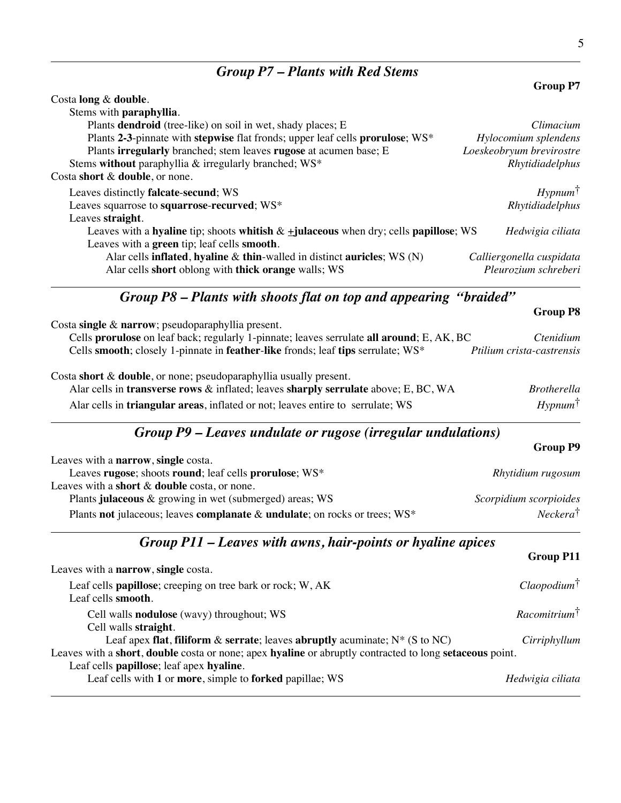## *Group P7 – Plants with Red Stems*

| Costa long & double.                                                                                   |                          |
|--------------------------------------------------------------------------------------------------------|--------------------------|
| Stems with paraphyllia.                                                                                |                          |
| Plants dendroid (tree-like) on soil in wet, shady places; E                                            | Climacium                |
| Plants 2-3-pinnate with stepwise flat fronds; upper leaf cells prorulose; WS*                          | Hylocomium splendens     |
| Plants irregularly branched; stem leaves rugose at acumen base; E                                      | Loeskeobryum brevirostre |
| Stems without paraphyllia & irregularly branched; WS*                                                  | Rhytidiadelphus          |
| Costa short & double, or none.                                                                         |                          |
| Leaves distinctly <b>falcate-secund</b> ; WS                                                           | $Hypnum$ <sup>†</sup>    |
| Leaves squarrose to squarrose-recurved; WS*                                                            | Rhytidiadelphus          |
| Leaves straight.                                                                                       |                          |
| Leaves with a hyaline tip; shoots whitish $\& \pm \text{julaceous}$ when dry; cells papillose; WS      | Hedwigia ciliata         |
| Leaves with a green tip; leaf cells smooth.                                                            |                          |
| Alar cells <b>inflated</b> , <b>hyaline</b> & <b>thin</b> -walled in distinct <b>auricles</b> ; WS (N) | Calliergonella cuspidata |
| Alar cells short oblong with thick orange walls; WS                                                    | Pleurozium schreberi     |

*Group P8 – Plants with shoots flat on top and appearing "braided"*

|                                                                                                                                                   | <b>Group P8</b>           |
|---------------------------------------------------------------------------------------------------------------------------------------------------|---------------------------|
| Costa single $\&$ narrow; pseudoparaphyllia present.<br>Cells prorulose on leaf back; regularly 1-pinnate; leaves serrulate all around; E, AK, BC | Ctenidium                 |
| Cells smooth; closely 1-pinnate in feather-like fronds; leaf tips serrulate; WS*                                                                  | Ptilium crista-castrensis |
| Costa short & double, or none; pseudoparaphyllia usually present.                                                                                 |                           |
| Alar cells in transverse rows & inflated; leaves sharply serrulate above; E, BC, WA                                                               | <i>Brotherella</i>        |
| Alar cells in <b>triangular areas</b> , inflated or not; leaves entire to serrulate; WS                                                           | $Hypnum^{\dagger}$        |
| $C$ <i>vour <math>D0</math> I cause undulate on migose (impoular undulations)</i>                                                                 |                           |

#### *Group P9 – Leaves undulate or rugose (irregular undulations)*

| $U100 \mu L$           |
|------------------------|
|                        |
| Rhytidium rugosum      |
|                        |
| Scorpidium scorpioides |
| $Neckera^{\dagger}$    |
|                        |

## *Group P11 – Leaves with awns, hair-points or hyaline apices*

| Leaves with a <b>narrow</b> , single costa.                                                                                          |                            |
|--------------------------------------------------------------------------------------------------------------------------------------|----------------------------|
| Leaf cells <b>papillose</b> ; creeping on tree bark or rock; W, AK<br>Leaf cells smooth.                                             | $Claopodium^{\dagger}$     |
| Cell walls <b>nodulose</b> (wavy) throughout; WS                                                                                     | $Racomitrium$ <sup>†</sup> |
| Cell walls straight.                                                                                                                 |                            |
| Leaf apex flat, filiform & serrate; leaves abruptly acuminate; $N^*$ (S to NC)                                                       | Cirriphyllum               |
| Leaves with a <b>short</b> , <b>double</b> costa or none; apex <b>hyaline</b> or abruptly contracted to long <b>setaceous</b> point. |                            |
| Leaf cells papillose; leaf apex hyaline.                                                                                             |                            |
| Leaf cells with 1 or more, simple to forked papillae; WS                                                                             | Hedwigia ciliata           |

### **Group P7**

**Group P9**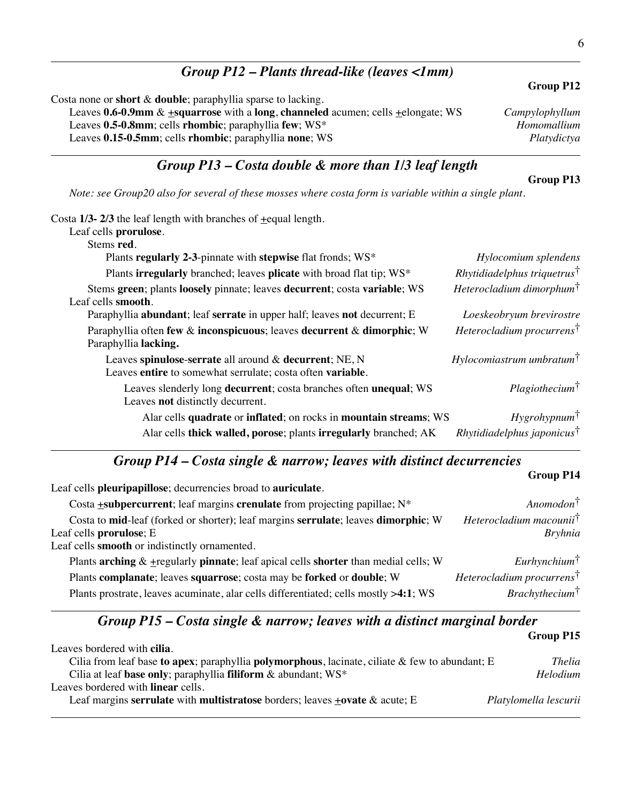## *Group P12 – Plants thread-like (leaves <1mm)*

Costa none or **short** & **double**; paraphyllia sparse to lacking. Leaves **0.6-0.9mm** & **+squarrose** with a **long**, **channeled** acumen; cells **+elongate**; WS *Campylophyllum* Leaves **0.5-0.8mm**; cells **rhombic**; paraphyllia **few**; WS\* *Homomallium* Leaves **0.15-0.5mm**; cells **rhombic**; paraphyllia **none**; WS *Platydictya*

## *Group P13 – Costa double & more than 1/3 leaf length*

*Note: see Group20 also for several of these mosses where costa form is variable within a single plant.*

| Costa $1/3$ - $2/3$ the leaf length with branches of $\pm$ equal length.                                              |                                          |
|-----------------------------------------------------------------------------------------------------------------------|------------------------------------------|
| Leaf cells prorulose.                                                                                                 |                                          |
| Stems red.                                                                                                            |                                          |
| Plants regularly 2-3-pinnate with stepwise flat fronds; WS*                                                           | Hylocomium splendens                     |
| Plants irregularly branched; leaves plicate with broad flat tip; WS*                                                  | $Rhutidiadelphus triguetrus†$            |
| Stems green; plants loosely pinnate; leaves decurrent; costa variable; WS<br>Leaf cells smooth.                       | Heterocladium dimorphum <sup>†</sup>     |
| Paraphyllia abundant; leaf serrate in upper half; leaves not decurrent; E                                             | Loeskeobryum brevirostre                 |
| Paraphyllia often few & inconspicuous; leaves decurrent & dimorphic; W<br>Paraphyllia lacking.                        | Heterocladium procurrens <sup>†</sup>    |
| Leaves spinulose-serrate all around & decurrent; NE, N<br>Leaves entire to somewhat serrulate; costa often variable.  | $H$ ylocomiastrum umbratum $^{\dagger}$  |
| Leaves slenderly long <b>decurrent</b> ; costa branches often <b>unequal</b> ; WS<br>Leaves not distinctly decurrent. | Plagio the cium <sup>†</sup>             |
| Alar cells quadrate or inflated; on rocks in mountain streams; WS                                                     | $Hy$ grohypnum $\dagger$                 |
| Alar cells thick walled, porose; plants irregularly branched; AK                                                      | $Rhytidiadelphus$ japonicus <sup>†</sup> |

## *Group P14 – Costa single & narrow; leaves with distinct decurrencies*

| Leaf cells pleuripapillose; decurrencies broad to auriculate.                            |                                       |
|------------------------------------------------------------------------------------------|---------------------------------------|
| Costa <b>+subpercurrent</b> ; leaf margins <b>crenulate</b> from projecting papillae; N* | $Anomodon^{\dagger}$                  |
| Costa to mid-leaf (forked or shorter); leaf margins serrulate; leaves dimorphic; W       | Heterocladium macounii <sup>†</sup>   |
| Leaf cells prorulose; E                                                                  | <i>Bryhnia</i>                        |
| Leaf cells smooth or indistinctly ornamented.                                            |                                       |
| Plants arching $\&$ +regularly pinnate; leaf apical cells shorter than medial cells; W   | $Eurh$ ynchium $\dagger$              |
| Plants complanate; leaves squarrose; costa may be forked or double; W                    | Heterocladium procurrens <sup>†</sup> |
| Plants prostrate, leaves acuminate, alar cells differentiated; cells mostly >4:1; WS     | Brachv the cium <sup>†</sup>          |

## *Group P15 – Costa single & narrow; leaves with a distinct marginal border*

|                                                                                                   | Group P15             |
|---------------------------------------------------------------------------------------------------|-----------------------|
| Leaves bordered with <b>cilia</b> .                                                               |                       |
| Cilia from leaf base to apex; paraphyllia polymorphous, lacinate, ciliate $\&$ few to abundant; E | <i>Thelia</i>         |
| Cilia at leaf base only; paraphyllia filiform & abundant; WS*                                     | <b>Helodium</b>       |
| Leaves bordered with <b>linear</b> cells.                                                         |                       |
| Leaf margins serrulate with multistratose borders; leaves $\pm$ ovate & acute; E                  | Platylomella lescurii |
|                                                                                                   |                       |

#### 6

#### **Group P13**

**Group P14**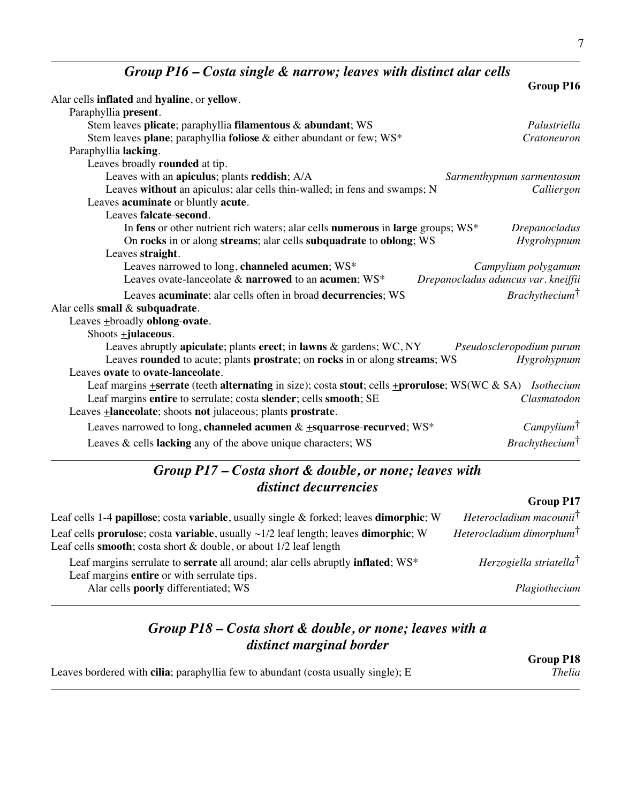*Group P16 – Costa single & narrow; leaves with distinct alar cells*

|                                                                                                                                | <b>Group P16</b>                    |
|--------------------------------------------------------------------------------------------------------------------------------|-------------------------------------|
| Alar cells inflated and hyaline, or yellow.                                                                                    |                                     |
| Paraphyllia present.                                                                                                           |                                     |
| Stem leaves plicate; paraphyllia filamentous & abundant; WS                                                                    | Palustriella                        |
| Stem leaves plane; paraphyllia foliose & either abundant or few; WS*                                                           | Cratoneuron                         |
| Paraphyllia lacking.                                                                                                           |                                     |
| Leaves broadly rounded at tip.                                                                                                 |                                     |
| Leaves with an apiculus; plants reddish; A/A                                                                                   | Sarmenthypnum sarmentosum           |
| Leaves without an apiculus; alar cells thin-walled; in fens and swamps; N                                                      | Calliergon                          |
| Leaves acuminate or bluntly acute.                                                                                             |                                     |
| Leaves falcate-second.                                                                                                         |                                     |
| In fens or other nutrient rich waters; alar cells numerous in large groups; WS*                                                | <b>Drepanocladus</b>                |
| On rocks in or along streams; alar cells subquadrate to oblong; WS                                                             | Hygrohypnum                         |
| Leaves straight.                                                                                                               |                                     |
| Leaves narrowed to long, channeled acumen; WS*                                                                                 | Campylium polygamum                 |
| Leaves ovate-lanceolate & narrowed to an acumen; WS*                                                                           | Drepanocladus aduncus var. kneiffii |
| Leaves acuminate; alar cells often in broad decurrencies; WS                                                                   | Brachy the cium <sup>†</sup>        |
| Alar cells small & subquadrate.                                                                                                |                                     |
| Leaves +broadly oblong-ovate.                                                                                                  |                                     |
| Shoots $\pm$ <b>julaceous</b> .                                                                                                |                                     |
| Leaves abruptly apiculate; plants erect; in lawns & gardens; WC, NY                                                            | Pseudoscleropodium purum            |
| Leaves rounded to acute; plants prostrate; on rocks in or along streams; WS                                                    | Hygrohypnum                         |
| Leaves ovate to ovate-lanceolate.                                                                                              |                                     |
| Leaf margins <b>+serrate</b> (teeth alternating in size); costa stout; cells <b>+prorulose</b> ; WS(WC & SA) <i>Isothecium</i> |                                     |
| Leaf margins entire to serrulate; costa slender; cells smooth; SE                                                              | Clasmatodon                         |
| Leaves <b>+lanceolate</b> ; shoots not julaceous; plants prostrate.                                                            |                                     |
| Leaves narrowed to long, channeled acumen & +squarrose-recurved; WS*                                                           | Campylium <sup>†</sup>              |
| Leaves & cells lacking any of the above unique characters; WS                                                                  | Brachy the cium <sup>†</sup>        |
| Group P17 – Costa short & double, or none; leaves with                                                                         |                                     |
| distinct decurrencies                                                                                                          |                                     |
|                                                                                                                                | <b>Group P17</b>                    |

| Leaf cells 1-4 papillose; costa variable, usually single & forked; leaves dimorphic; W    | Heterocladium macounii <sup>†</sup>  |
|-------------------------------------------------------------------------------------------|--------------------------------------|
| Leaf cells prorulose; costa variable, usually $\sim 1/2$ leaf length; leaves dimorphic; W | Heterocladium dimorphum <sup>†</sup> |
| Leaf cells smooth; costa short $\&$ double, or about 1/2 leaf length                      |                                      |
| Leaf margins serrulate to serrate all around; alar cells abruptly inflated; WS*           | Herzogiella striatella <sup>†</sup>  |
| Leaf margins entire or with serrulate tips.                                               |                                      |
| Alar cells <b>poorly</b> differentiated; WS                                               | Plagiothecium                        |

## *Group P18 – Costa short & double, or none; leaves with a distinct marginal border*

**Group P18** Leaves bordered with **cilia**; paraphyllia few to abundant (costa usually single); E *Thelia*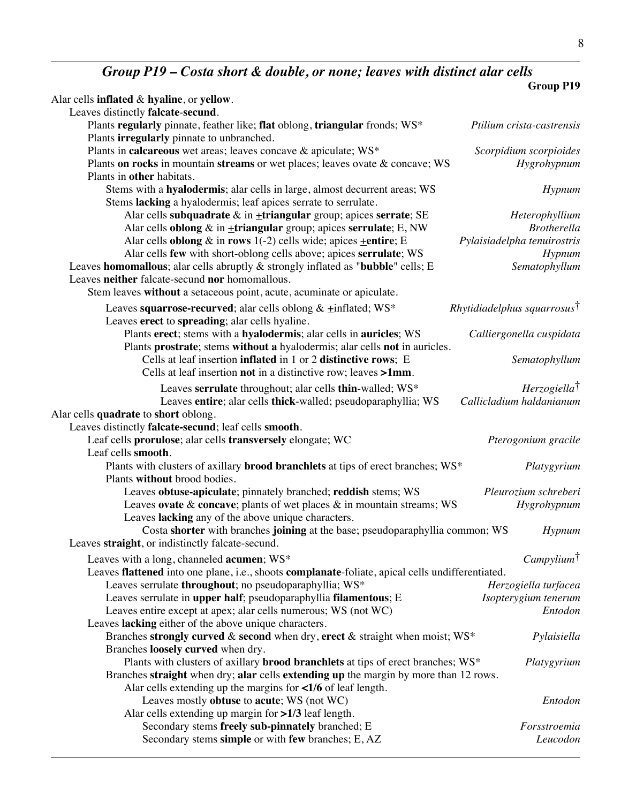# *Group P19 – Costa short & double, or none; leaves with distinct alar cells*

|                                                                                                  | <b>Group P19</b>                        |
|--------------------------------------------------------------------------------------------------|-----------------------------------------|
| Alar cells inflated $&$ hyaline, or yellow.                                                      |                                         |
| Leaves distinctly falcate-secund.                                                                |                                         |
| Plants regularly pinnate, feather like; flat oblong, triangular fronds; WS*                      | Ptilium crista-castrensis               |
| Plants irregularly pinnate to unbranched.                                                        |                                         |
| Plants in calcareous wet areas; leaves concave & apiculate; WS*                                  | Scorpidium scorpioides                  |
| Plants on rocks in mountain streams or wet places; leaves ovate & concave; WS                    | Hygrohypnum                             |
| Plants in other habitats.                                                                        |                                         |
| Stems with a hyalodermis; alar cells in large, almost decurrent areas; WS                        | Hypnum                                  |
| Stems lacking a hyalodermis; leaf apices serrate to serrulate.                                   |                                         |
| Alar cells subquadrate $\&$ in $\pm$ triangular group; apices serrate; SE                        | Heterophyllium                          |
| Alar cells oblong $\&$ in $\pm$ triangular group; apices serrulate; E, NW                        | <b>Brotherella</b>                      |
| Alar cells oblong $\&$ in rows 1(-2) cells wide; apices $\pm$ entire; E                          | Pylaisiadelpha tenuirostris             |
| Alar cells few with short-oblong cells above; apices serrulate; WS                               | Hypnum                                  |
| Leaves homomallous; alar cells abruptly & strongly inflated as "bubble" cells; E                 | Sematophyllum                           |
| Leaves neither falcate-secund nor homomallous.                                                   |                                         |
| Stem leaves without a setaceous point, acute, acuminate or apiculate.                            |                                         |
| Leaves squarrose-recurved; alar cells oblong & +inflated; WS*                                    | Rhytidiadelphus squarrosus <sup>†</sup> |
| Leaves erect to spreading; alar cells hyaline.                                                   |                                         |
| Plants erect; stems with a hyalodermis; alar cells in auricles; WS                               | Calliergonella cuspidata                |
| Plants prostrate; stems without a hyalodermis; alar cells not in auricles.                       |                                         |
| Cells at leaf insertion inflated in 1 or 2 distinctive rows; E                                   | Sematophyllum                           |
| Cells at leaf insertion not in a distinctive row; leaves >1mm.                                   |                                         |
| Leaves serrulate throughout; alar cells thin-walled; WS*                                         | $Herzogiella^{\dagger}$                 |
| Leaves entire; alar cells thick-walled; pseudoparaphyllia; WS                                    | Callicladium haldanianum                |
| Alar cells quadrate to short oblong.                                                             |                                         |
| Leaves distinctly falcate-secund; leaf cells smooth.                                             |                                         |
| Leaf cells prorulose; alar cells transversely elongate; WC                                       | Pterogonium gracile                     |
| Leaf cells smooth.                                                                               |                                         |
| Plants with clusters of axillary brood branchlets at tips of erect branches; WS*                 | Platygyrium                             |
| Plants without brood bodies.                                                                     |                                         |
| Leaves obtuse-apiculate; pinnately branched; reddish stems; WS                                   | Pleurozium schreberi                    |
| Leaves ovate $\&$ concave; plants of wet places $\&$ in mountain streams; WS                     | Hygrohypnum                             |
| Leaves lacking any of the above unique characters.                                               |                                         |
| Costa shorter with branches joining at the base; pseudoparaphyllia common; WS                    | Hypnum                                  |
| Leaves straight, or indistinctly falcate-secund.                                                 |                                         |
| Leaves with a long, channeled <b>acumen</b> ; WS*                                                | Campylium <sup>†</sup>                  |
| Leaves flattened into one plane, i.e., shoots complanate-foliate, apical cells undifferentiated. |                                         |
| Leaves serrulate throughout; no pseudoparaphyllia; WS*                                           | Herzogiella turfacea                    |
| Leaves serrulate in upper half; pseudoparaphyllia filamentous; E                                 | Isopterygium tenerum                    |
| Leaves entire except at apex; alar cells numerous; WS (not WC)                                   | Entodon                                 |
| Leaves lacking either of the above unique characters.                                            |                                         |
| Branches strongly curved $\&$ second when dry, erect $\&$ straight when moist; WS*               | Pylaisiella                             |
| Branches loosely curved when dry.                                                                |                                         |
| Plants with clusters of axillary brood branchlets at tips of erect branches; WS*                 | Platygyrium                             |
| Branches straight when dry; alar cells extending up the margin by more than 12 rows.             |                                         |
| Alar cells extending up the margins for $\langle 1/6 \rangle$ of leaf length.                    |                                         |
| Leaves mostly obtuse to acute; WS (not WC)                                                       | Entodon                                 |
| Alar cells extending up margin for $>1/3$ leaf length.                                           |                                         |
| Secondary stems freely sub-pinnately branched; E                                                 | Forsstroemia                            |
| Secondary stems simple or with few branches; E, AZ                                               | Leucodon                                |
|                                                                                                  |                                         |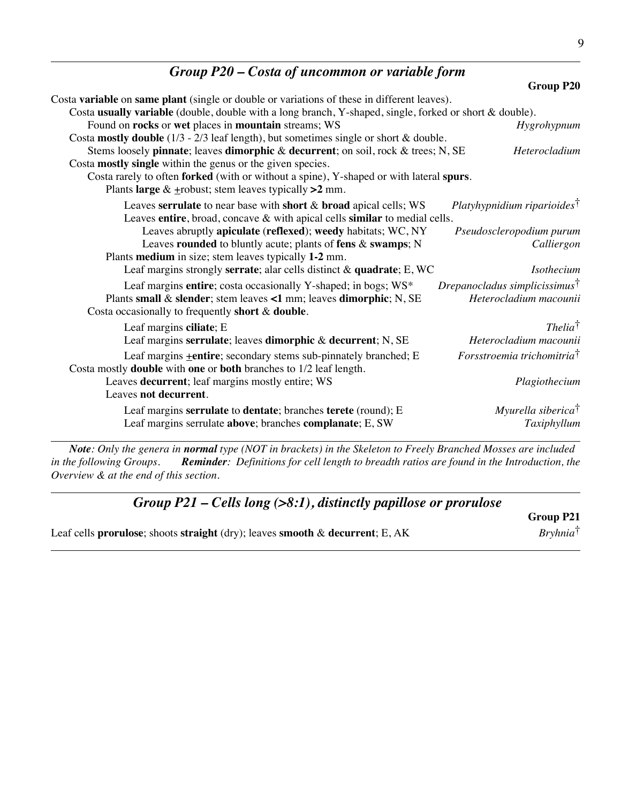## *Group P20 – Costa of uncommon or variable form*

|                                                                                                                                                                                             | <b>Group P20</b>                                                    |
|---------------------------------------------------------------------------------------------------------------------------------------------------------------------------------------------|---------------------------------------------------------------------|
| Costa variable on same plant (single or double or variations of these in different leaves).                                                                                                 |                                                                     |
| Costa usually variable (double, double with a long branch, Y-shaped, single, forked or short & double).                                                                                     |                                                                     |
| Found on rocks or wet places in mountain streams; WS                                                                                                                                        | Hygrohypnum                                                         |
| Costa mostly double $(1/3 - 2/3$ leaf length), but sometimes single or short & double.                                                                                                      |                                                                     |
| Stems loosely pinnate; leaves dimorphic & decurrent; on soil, rock & trees; N, SE                                                                                                           | Heterocladium                                                       |
| Costa mostly single within the genus or the given species.                                                                                                                                  |                                                                     |
| Costa rarely to often forked (with or without a spine), Y-shaped or with lateral spurs.<br>Plants large $& \pm$ robust; stem leaves typically >2 mm.                                        |                                                                     |
| Leaves serrulate to near base with short & broad apical cells; WS<br>Leaves entire, broad, concave & with apical cells similar to medial cells.                                             | Platyhypnidium riparioides <sup>†</sup>                             |
| Leaves abruptly apiculate (reflexed); weedy habitats; WC, NY<br>Leaves rounded to bluntly acute; plants of fens & swamps; N<br>Plants medium in size; stem leaves typically 1-2 mm.         | Pseudoscleropodium purum<br>Calliergon                              |
| Leaf margins strongly serrate; alar cells distinct $\&$ quadrate; E, WC                                                                                                                     | <b>Isothecium</b>                                                   |
| Leaf margins entire; costa occasionally Y-shaped; in bogs; WS*<br>Plants small $\&$ slender; stem leaves <1 mm; leaves dimorphic; N, SE<br>Costa occasionally to frequently short & double. | $D$ repanocladus simplicissimus $\dagger$<br>Heterocladium macounii |
| Leaf margins ciliate; E                                                                                                                                                                     | $The li\ddot{\alpha}^{\dagger}$                                     |
| Leaf margins serrulate; leaves dimorphic & decurrent; N, SE                                                                                                                                 | Heterocladium macounii                                              |
| Leaf margins <b>+entire</b> ; secondary stems sub-pinnately branched; E<br>Costa mostly <b>double</b> with one or both branches to 1/2 leaf length.                                         | Forsstroemia trichomitria <sup>†</sup>                              |
| Leaves decurrent; leaf margins mostly entire; WS<br>Leaves not decurrent.                                                                                                                   | Plagiothecium                                                       |
| Leaf margins serrulate to dentate; branches terete (round); E<br>Leaf margins serrulate above; branches complanate; E, SW                                                                   | Myurella siberica <sup>†</sup><br>Taxiphyllum                       |

*Note: Only the genera in normal type (NOT in brackets) in the Skeleton to Freely Branched Mosses are included in the following Groups. Reminder: Definitions for cell length to breadth ratios are found in the Introduction, the Overview & at the end of this section.*

### *Group P21 – Cells long (>8:1), distinctly papillose or prorulose*

Leaf cells **prorulose**; shoots **straight** (dry); leaves **smooth** & **decurrent**; E, AK *Bryhnia*†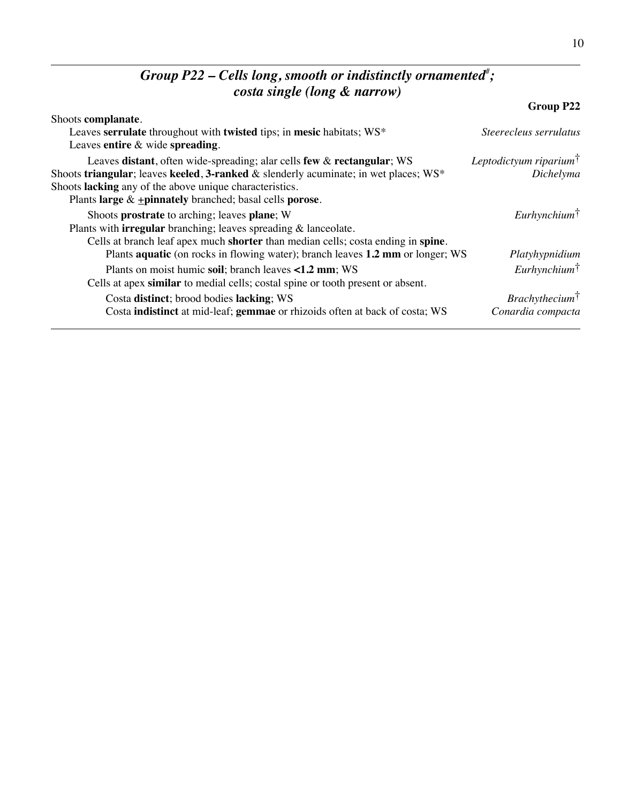## *Group P22 – Cells long, smooth or indistinctly ornamented*# *; costa single (long & narrow)*

|                                                                                                                                                                                                                                                                                                 | <b>Group P22</b>                                  |
|-------------------------------------------------------------------------------------------------------------------------------------------------------------------------------------------------------------------------------------------------------------------------------------------------|---------------------------------------------------|
| Shoots complanate.<br>Leaves serrulate throughout with twisted tips; in mesic habitats; WS*<br>Leaves entire $&$ wide spreading.                                                                                                                                                                | Steerecleus serrulatus                            |
| Leaves distant, often wide-spreading; alar cells few & rectangular; WS<br>Shoots triangular; leaves keeled, 3-ranked $\&$ slenderly acuminate; in wet places; WS*<br>Shoots lacking any of the above unique characteristics.<br>Plants large $&$ + pinnately branched; basal cells porose.      | Leptodictyum riparium $\dagger$<br>Dichelyma      |
| Shoots prostrate to arching; leaves plane; W<br>Plants with <b>irregular</b> branching; leaves spreading $\&$ lanceolate.<br>Cells at branch leaf apex much shorter than median cells; costa ending in spine.<br>Plants aquatic (on rocks in flowing water); branch leaves 1.2 mm or longer; WS | $Eurh$ ynchium <sup>†</sup><br>Platyhypnidium     |
| Plants on moist humic soil; branch leaves <1.2 mm; WS<br>Cells at apex similar to medial cells; costal spine or tooth present or absent.                                                                                                                                                        | $Eurh$ ynchium $\dagger$                          |
| Costa distinct; brood bodies lacking; WS<br>Costa indistinct at mid-leaf; gemmae or rhizoids often at back of costa; WS                                                                                                                                                                         | Brachy the cium <sup>†</sup><br>Conardia compacta |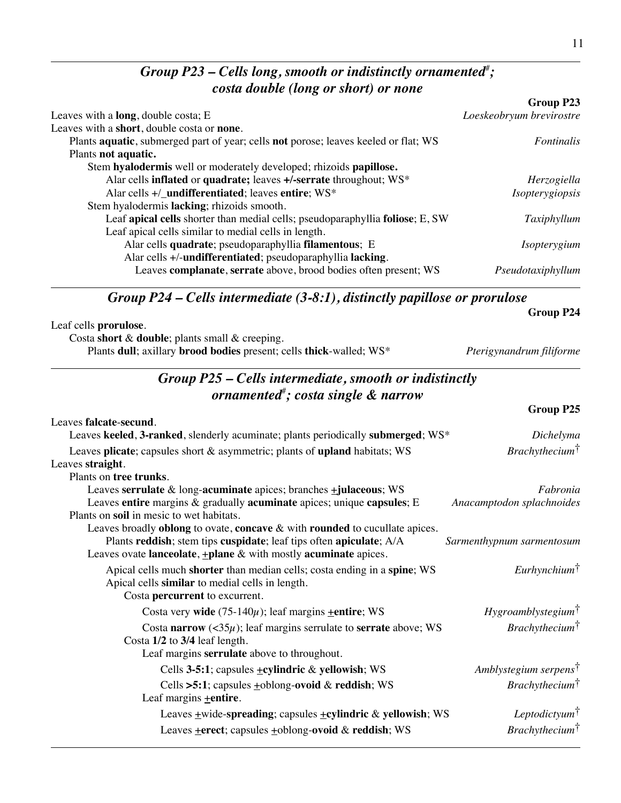### *Group P23 – Cells long, smooth or indistinctly ornamented*# *; costa double (long or short) or none*

| Leaves with a <b>long</b> , double costa; E                                                        | Loeskeobryum brevirostre |
|----------------------------------------------------------------------------------------------------|--------------------------|
| Leaves with a short, double costa or none.                                                         |                          |
| Plants <b>aquatic</b> , submerged part of year; cells <b>not</b> porose; leaves keeled or flat; WS | <i>Fontinalis</i>        |
| Plants not aquatic.                                                                                |                          |
| Stem hyalodermis well or moderately developed; rhizoids papillose.                                 |                          |
| Alar cells inflated or quadrate; leaves +/-serrate throughout; WS*                                 | Herzogiella              |
| Alar cells $+$ /_ <b>undifferentiated</b> ; leaves entire; WS*                                     | Isopterygiopsis          |
| Stem hyalodermis lacking; rhizoids smooth.                                                         |                          |
| Leaf apical cells shorter than medial cells; pseudoparaphyllia foliose; E, SW                      | Taxiphyllum              |
| Leaf apical cells similar to medial cells in length.                                               |                          |
| Alar cells quadrate; pseudoparaphyllia filamentous; E                                              | <i>Isopterygium</i>      |
| Alar cells +/-undifferentiated; pseudoparaphyllia lacking.                                         |                          |
| Leaves complanate, serrate above, brood bodies often present; WS                                   | Pseudotaxiphyllum        |
|                                                                                                    |                          |

*Group P24 – Cells intermediate (3-8:1), distinctly papillose or prorulose*

| Leaf cells <b>prorulose</b> .                                       |                          |
|---------------------------------------------------------------------|--------------------------|
| Costa short $\&$ double; plants small $\&$ creeping.                |                          |
| Plants dull; axillary brood bodies present; cells thick-walled; WS* | Pterigynandrum filiforme |
|                                                                     |                          |

## *Group P25 – Cells intermediate, smooth or indistinctly ornamented*# *; costa single & narrow*

|                                                                                      | Group P25                         |
|--------------------------------------------------------------------------------------|-----------------------------------|
| Leaves falcate-secund.                                                               |                                   |
| Leaves keeled, 3-ranked, slenderly acuminate; plants periodically submerged; WS*     | Dichelyma                         |
| Leaves plicate; capsules short & asymmetric; plants of upland habitats; WS           | Brachy the cium <sup>†</sup>      |
| Leaves straight.                                                                     |                                   |
| Plants on tree trunks.                                                               |                                   |
| Leaves serrulate $\&$ long-acuminate apices; branches $\pm$ julaceous; WS            | Fabronia                          |
| Leaves entire margins & gradually acuminate apices; unique capsules; E               | Anacamptodon splachnoides         |
| Plants on soil in mesic to wet habitats.                                             |                                   |
| Leaves broadly oblong to ovate, concave & with rounded to cucullate apices.          |                                   |
| Plants reddish; stem tips cuspidate; leaf tips often apiculate; A/A                  | Sarmenthypnum sarmentosum         |
| Leaves ovate lanceolate, $\pm$ plane & with mostly acuminate apices.                 |                                   |
| Apical cells much shorter than median cells; costa ending in a spine; WS             | $Eurh$ ynchium $\uparrow$         |
| Apical cells similar to medial cells in length.                                      |                                   |
| Costa percurrent to excurrent.                                                       |                                   |
| Costa very wide $(75-140\mu)$ ; leaf margins <b>+</b> entire; WS                     | Hygroamblystegium <sup>†</sup>    |
| Costa narrow $(\langle 35\mu \rangle)$ ; leaf margins serrulate to serrate above; WS | Brachy the cium <sup>†</sup>      |
| Costa $1/2$ to $3/4$ leaf length.                                                    |                                   |
| Leaf margins serrulate above to throughout.                                          |                                   |
| Cells 3-5:1; capsules $\pm$ cylindric & yellowish; WS                                | Amblystegium serpens <sup>†</sup> |
| Cells >5:1; capsules +oblong-ovoid & reddish; WS                                     | Brachy the cium <sup>†</sup>      |
| Leaf margins $\pm$ entire.                                                           |                                   |
| Leaves $\pm$ wide-spreading; capsules $\pm$ cylindric & yellowish; WS                | Leptodictyum <sup>†</sup>         |
| Leaves <b>+erect</b> ; capsules <b>+oblong-ovoid &amp; reddish</b> ; WS              | Brachy the cium <sup>†</sup>      |
|                                                                                      |                                   |

**Group P23**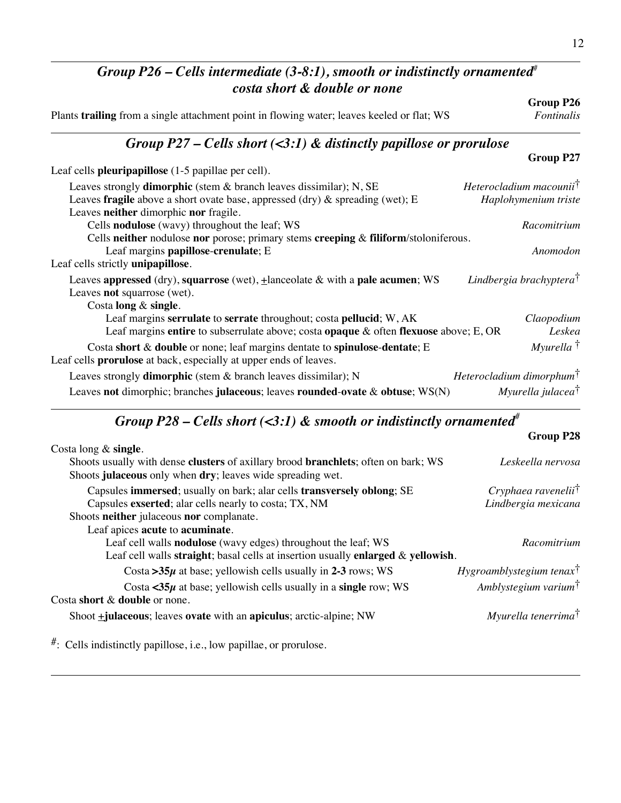## *Group P26 – Cells intermediate (3-8:1), smooth or indistinctly ornamented*<sup>#</sup> *costa short & double or none*

Plants **trailing** from a single attachment point in flowing water; leaves keeled or flat; WS *Fontinalis*

### *Group P27 – Cells short (<3:1) & distinctly papillose or prorulose*

| Leaf cells pleuripapillose (1-5 papillae per cell).                                   |                                      |
|---------------------------------------------------------------------------------------|--------------------------------------|
| Leaves strongly dimorphic (stem & branch leaves dissimilar); N, SE                    | Heterocladium macounii <sup>†</sup>  |
| Leaves fragile above a short ovate base, appressed (dry) $\&$ spreading (wet); E      | Haplohymenium triste                 |
| Leaves neither dimorphic nor fragile.                                                 |                                      |
| Cells <b>nodulose</b> (wavy) throughout the leaf; WS                                  | Racomitrium                          |
| Cells neither nodulose nor porose; primary stems creeping $&$ filiform/stoloniferous. |                                      |
| Leaf margins papillose-crenulate; E                                                   | Anomodon                             |
| Leaf cells strictly unipapillose.                                                     |                                      |
| Leaves appressed (dry), squarrose (wet), $\pm$ lanceolate & with a pale acumen; WS    | Lindbergia brachyptera <sup>†</sup>  |
| Leaves not squarrose (wet).                                                           |                                      |
| Costa long $&$ single.                                                                |                                      |
| Leaf margins serrulate to serrate throughout; costa pellucid; W, AK                   | Claopodium                           |
| Leaf margins entire to subservulate above; costa opaque & often flexuose above; E, OR | Leskea                               |
| Costa short $\&$ double or none; leaf margins dentate to spinulose-dentate; E         | Myurella $\dagger$                   |
| Leaf cells prorulose at back, especially at upper ends of leaves.                     |                                      |
| Leaves strongly <b>dimorphic</b> (stem $\&$ branch leaves dissimilar); N              | Heterocladium dimorphum <sup>†</sup> |
| Leaves not dimorphic; branches julaceous; leaves rounded-ovate & obtuse; WS(N)        | Myurella julacea <sup>†</sup>        |

## *Group P28 – Cells short (<3:1) & smooth or indistinctly ornamented*<sup>#</sup>

|                                                                                                                                                                 | <b>Group P28</b>                     |
|-----------------------------------------------------------------------------------------------------------------------------------------------------------------|--------------------------------------|
| Costa long $&$ single.                                                                                                                                          |                                      |
| Shoots usually with dense <b>clusters</b> of axillary brood <b>branchlets</b> ; often on bark; WS<br>Shoots julaceous only when dry; leaves wide spreading wet. | Leskeella nervosa                    |
| Capsules immersed; usually on bark; alar cells transversely oblong; SE                                                                                          | Cryphaea ravenelii <sup>†</sup>      |
| Capsules exserted; alar cells nearly to costa; TX, NM                                                                                                           | Lindbergia mexicana                  |
| Shoots neither julaceous nor complanate.                                                                                                                        |                                      |
| Leaf apices acute to acuminate.                                                                                                                                 |                                      |
| Leaf cell walls <b>nodulose</b> (wavy edges) throughout the leaf; WS                                                                                            | Racomitrium                          |
| Leaf cell walls straight; basal cells at insertion usually enlarged $\&$ yellowish.                                                                             |                                      |
| Costa > $35\mu$ at base; yellowish cells usually in 2-3 rows; WS                                                                                                | $Hy$ groamblystegium tenax $\dagger$ |
| Costa $\langle 35\mu$ at base; yellowish cells usually in a single row; WS                                                                                      | Amblystegium varium $\dagger$        |
| Costa short & double or none.                                                                                                                                   |                                      |
| Shoot <b>+julaceous</b> ; leaves <b>ovate</b> with an <b>apiculus</b> ; arctic-alpine; NW                                                                       | Myurella tenerrima <sup>†</sup>      |
|                                                                                                                                                                 |                                      |

#: Cells indistinctly papillose, i.e., low papillae, or prorulose.

**Group P26**